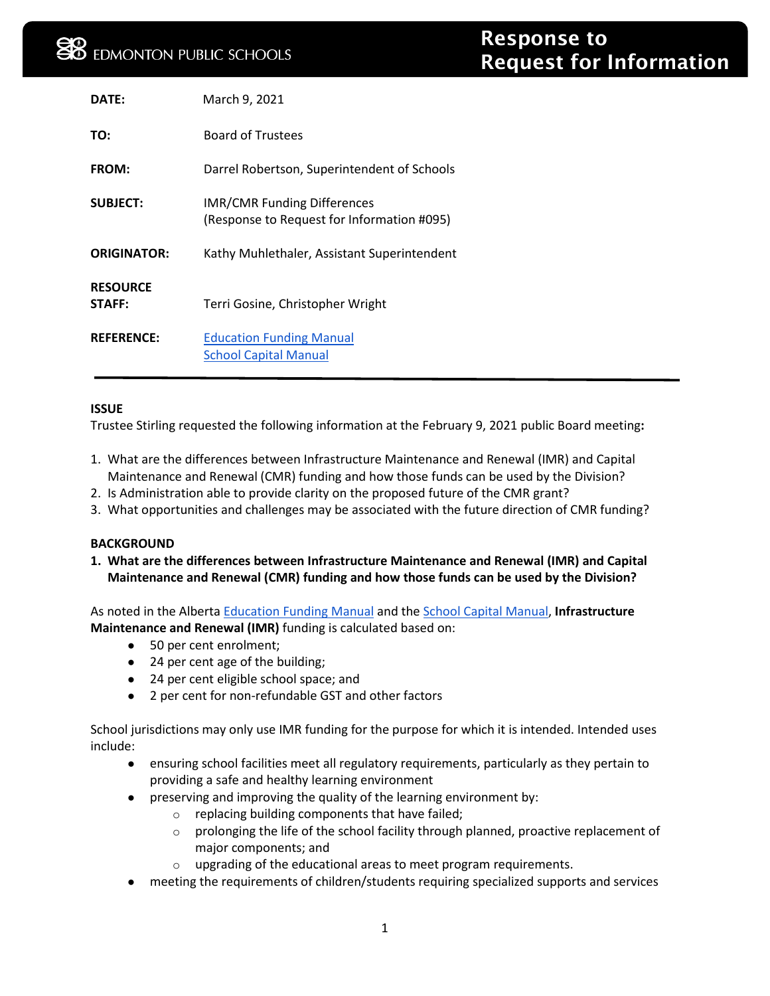| $\mathsf{DATF}$ :  | March 9, 2021                                                                    |
|--------------------|----------------------------------------------------------------------------------|
| TO:                | <b>Board of Trustees</b>                                                         |
| FROM:              | Darrel Robertson, Superintendent of Schools                                      |
| <b>SUBJECT:</b>    | <b>IMR/CMR Funding Differences</b><br>(Response to Request for Information #095) |
| <b>ORIGINATOR:</b> | Kathy Muhlethaler, Assistant Superintendent                                      |
| <b>RESOURCE</b>    |                                                                                  |
| STAFF:             | Terri Gosine, Christopher Wright                                                 |
| <b>REFERENCE:</b>  | <b>Education Funding Manual</b><br><b>School Capital Manual</b>                  |

## **ISSUE**

Trustee Stirling requested the following information at the February 9, 2021 public Board meeting**:**

- 1. What are the differences between Infrastructure Maintenance and Renewal (IMR) and Capital Maintenance and Renewal (CMR) funding and how those funds can be used by the Division?
- 2. Is Administration able to provide clarity on the proposed future of the CMR grant?
- 3. What opportunities and challenges may be associated with the future direction of CMR funding?

## **BACKGROUND**

**1. What are the differences between Infrastructure Maintenance and Renewal (IMR) and Capital Maintenance and Renewal (CMR) funding and how those funds can be used by the Division?**

As noted in the Alberta [Education Funding Manual](https://open.alberta.ca/dataset/8f3b4972-4c47-4009-a090-5b470e68d633/resource/3dbbd76b-f3f3-485b-ba03-7069c87790d2/download/edc-funding-manual-2020-2021-school-year.pdf) and the [School Capital Manual,](https://open.alberta.ca/dataset/bc9223b2-74b3-4e51-83a0-277ed54498da/resource/eb92056d-4c87-4ddf-bf5e-792580eb82dc/download/school-capital-manual-march-2015.pdf) **Infrastructure Maintenance and Renewal (IMR)** funding is calculated based on:

- 50 per cent enrolment;
- 24 per cent age of the building;
- 24 per cent eligible school space; and
- 2 per cent for non-refundable GST and other factors

School jurisdictions may only use IMR funding for the purpose for which it is intended. Intended uses include:

- ensuring school facilities meet all regulatory requirements, particularly as they pertain to providing a safe and healthy learning environment
- preserving and improving the quality of the learning environment by:
	- o replacing building components that have failed;
	- $\circ$  prolonging the life of the school facility through planned, proactive replacement of major components; and
	- o upgrading of the educational areas to meet program requirements.
- meeting the requirements of children/students requiring specialized supports and services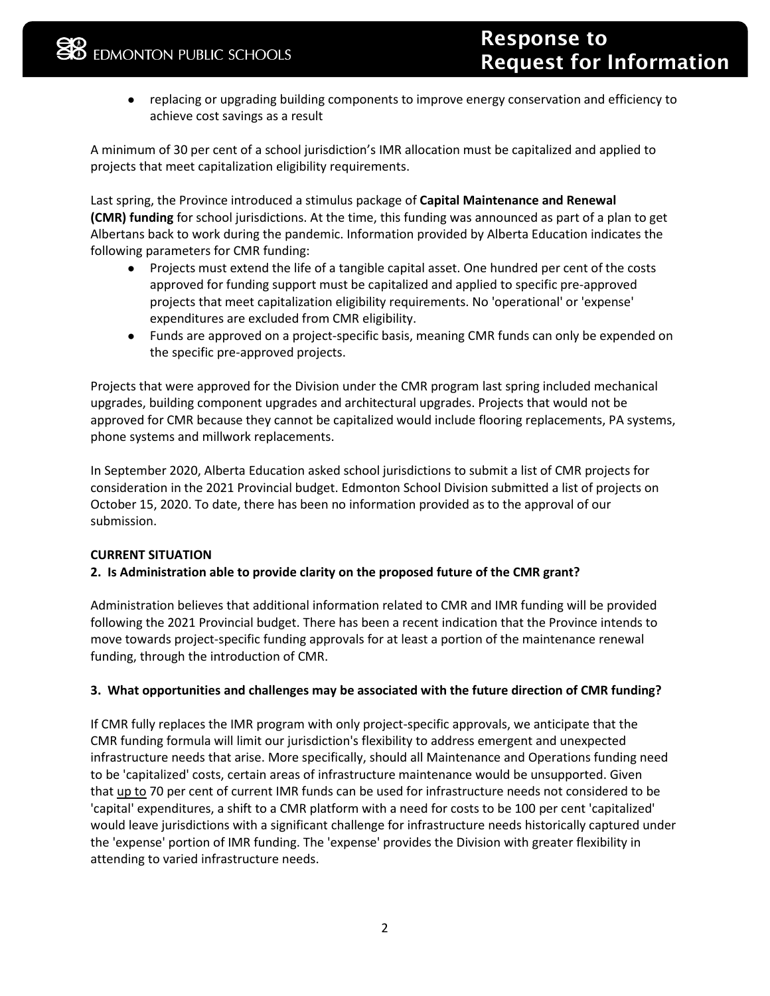● replacing or upgrading building components to improve energy conservation and efficiency to achieve cost savings as a result

A minimum of 30 per cent of a school jurisdiction's IMR allocation must be capitalized and applied to projects that meet capitalization eligibility requirements.

Last spring, the Province introduced a stimulus package of **Capital Maintenance and Renewal (CMR) funding** for school jurisdictions. At the time, this funding was announced as part of a plan to get Albertans back to work during the pandemic. Information provided by Alberta Education indicates the following parameters for CMR funding:

- Projects must extend the life of a tangible capital asset. One hundred per cent of the costs approved for funding support must be capitalized and applied to specific pre-approved projects that meet capitalization eligibility requirements. No 'operational' or 'expense' expenditures are excluded from CMR eligibility.
- Funds are approved on a project-specific basis, meaning CMR funds can only be expended on the specific pre-approved projects.

Projects that were approved for the Division under the CMR program last spring included mechanical upgrades, building component upgrades and architectural upgrades. Projects that would not be approved for CMR because they cannot be capitalized would include flooring replacements, PA systems, phone systems and millwork replacements.

In September 2020, Alberta Education asked school jurisdictions to submit a list of CMR projects for consideration in the 2021 Provincial budget. Edmonton School Division submitted a list of projects on October 15, 2020. To date, there has been no information provided as to the approval of our submission.

## **CURRENT SITUATION**

## **2. Is Administration able to provide clarity on the proposed future of the CMR grant?**

Administration believes that additional information related to CMR and IMR funding will be provided following the 2021 Provincial budget. There has been a recent indication that the Province intends to move towards project-specific funding approvals for at least a portion of the maintenance renewal funding, through the introduction of CMR.

## **3. What opportunities and challenges may be associated with the future direction of CMR funding?**

If CMR fully replaces the IMR program with only project-specific approvals, we anticipate that the CMR funding formula will limit our jurisdiction's flexibility to address emergent and unexpected infrastructure needs that arise. More specifically, should all Maintenance and Operations funding need to be 'capitalized' costs, certain areas of infrastructure maintenance would be unsupported. Given that up to 70 per cent of current IMR funds can be used for infrastructure needs not considered to be 'capital' expenditures, a shift to a CMR platform with a need for costs to be 100 per cent 'capitalized' would leave jurisdictions with a significant challenge for infrastructure needs historically captured under the 'expense' portion of IMR funding. The 'expense' provides the Division with greater flexibility in attending to varied infrastructure needs.